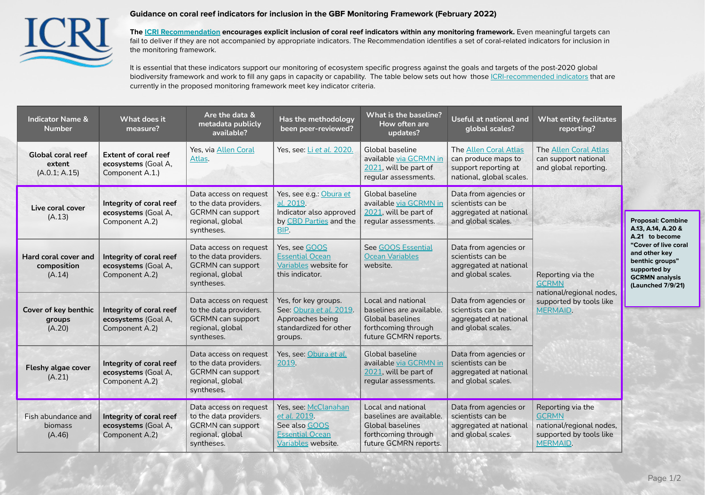

## **Guidance on coral reef indicators for inclusion in the GBF Monitoring Framework (February 2022)**

**The [ICRI Recommendation](http://coralpost2020.org) encourages explicit inclusion of coral reef indicators within any monitoring framework.** Even meaningful targets can fail to deliver if they are not accompanied by appropriate indicators. The Recommendation identifies a set of coral-related indicators for inclusion in the monitoring framework.

It is essential that these indicators support our monitoring of ecosystem specific progress against the goals and targets of the post-2020 global biodiversity framework and work to fill any gaps in capacity or capability. The table below sets out how those *CRI-recommended indicators* that are currently in the proposed monitoring framework meet key indicator criteria.

| <b>Indicator Name &amp;</b><br><b>Number</b>  | What does it<br>measure?                                              | Are the data &<br>metadata publicly<br>available?                                                              | Has the methodology<br>been peer-reviewed?                                                               | What is the baseline?<br>How often are<br>updates?                                                                        | Useful at national and<br>global scales?                                                         | <b>What entity facilitates</b><br>reporting?                                                                |                                                                                                                                                                                            |
|-----------------------------------------------|-----------------------------------------------------------------------|----------------------------------------------------------------------------------------------------------------|----------------------------------------------------------------------------------------------------------|---------------------------------------------------------------------------------------------------------------------------|--------------------------------------------------------------------------------------------------|-------------------------------------------------------------------------------------------------------------|--------------------------------------------------------------------------------------------------------------------------------------------------------------------------------------------|
| Global coral reef<br>extent<br>(A.0.1; A.15)  | <b>Extent of coral reef</b><br>ecosystems (Goal A,<br>Component A.1.) | Yes, via Allen Coral<br>Atlas.                                                                                 | Yes, see: Li et al. 2020.                                                                                | Global baseline<br>available via GCRMN in<br>2021, will be part of<br>regular assessments.                                | The Allen Coral Atlas<br>can produce maps to<br>support reporting at<br>national, global scales. | The Allen Coral Atlas<br>can support national<br>and global reporting.                                      |                                                                                                                                                                                            |
| Live coral cover<br>(A.13)                    | Integrity of coral reef<br>ecosystems (Goal A,<br>Component A.2)      | Data access on request<br>to the data providers.<br><b>GCRMN</b> can support<br>regional, global<br>syntheses. | Yes, see e.g.: Obura et<br>al. 2019.<br>Indicator also approved<br>by CBD Parties and the<br>BIP.        | Global baseline<br>available via GCRMN in<br>2021, will be part of<br>regular assessments.                                | Data from agencies or<br>scientists can be<br>aggregated at national<br>and global scales.       |                                                                                                             | <b>Proposal: Combine</b><br>A.13, A.14, A.20 &<br>A.21 to become<br>"Cover of live coral<br>and other key<br>benthic groups"<br>supported by<br><b>GCRMN</b> analysis<br>(Launched 7/9/21) |
| Hard coral cover and<br>composition<br>(A.14) | Integrity of coral reef<br>ecosystems (Goal A,<br>Component A.2)      | Data access on request<br>to the data providers.<br><b>GCRMN</b> can support<br>regional, global<br>syntheses. | Yes, see GOOS<br><b>Essential Ocean</b><br>Variables website for<br>this indicator.                      | See GOOS Essential<br><b>Ocean Variables</b><br>website.                                                                  | Data from agencies or<br>scientists can be<br>aggregated at national<br>and global scales.       | Reporting via the<br><b>GCRMN</b>                                                                           |                                                                                                                                                                                            |
| Cover of key benthic<br>groups<br>(A.20)      | Integrity of coral reef<br>ecosystems (Goal A,<br>Component A.2)      | Data access on request<br>to the data providers.<br><b>GCRMN</b> can support<br>regional, global<br>syntheses. | Yes, for key groups.<br>See: Obura et al. 2019.<br>Approaches being<br>standardized for other<br>groups. | Local and national<br>baselines are available.<br><b>Global baselines</b><br>forthcoming through<br>future GCMRN reports. | Data from agencies or<br>scientists can be<br>aggregated at national<br>and global scales.       | national/regional nodes,<br>supported by tools like<br><b>MERMAID.</b>                                      |                                                                                                                                                                                            |
| Fleshy algae cover<br>(A.21)                  | Integrity of coral reef<br>ecosystems (Goal A,<br>Component A.2)      | Data access on request<br>to the data providers.<br><b>GCRMN</b> can support<br>regional, global<br>syntheses. | Yes, see: Obura et al.<br>2019.                                                                          | <b>Global baseline</b><br>available via GCRMN in<br>2021, will be part of<br>regular assessments.                         | Data from agencies or<br>scientists can be<br>aggregated at national<br>and global scales.       |                                                                                                             |                                                                                                                                                                                            |
| Fish abundance and<br>biomass<br>(A.46)       | Integrity of coral reef<br>ecosystems (Goal A,<br>Component A.2)      | Data access on request<br>to the data providers.<br><b>GCRMN</b> can support<br>regional, global<br>syntheses. | Yes, see: McClanahan<br>et al. 2019.<br>See also GOOS<br><b>Essential Ocean</b><br>Variables website.    | Local and national<br>baselines are available.<br><b>Global baselines</b><br>forthcoming through<br>future GCMRN reports. | Data from agencies or<br>scientists can be<br>aggregated at national<br>and global scales.       | Reporting via the<br><b>GCRMN</b><br>national/regional nodes,<br>supported by tools like<br><b>MERMAID.</b> |                                                                                                                                                                                            |